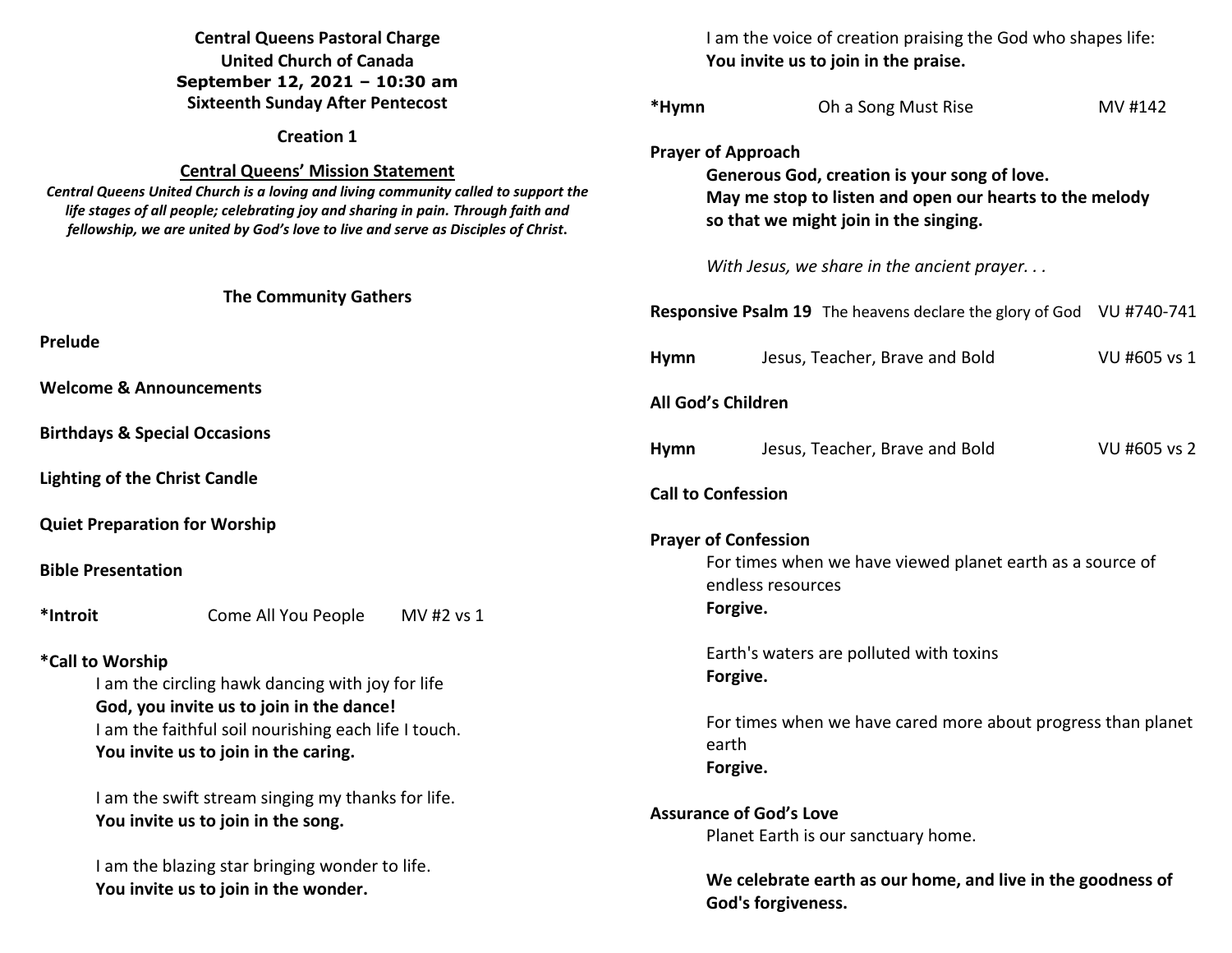# **Central Queens Pastoral Charge United Church of Canada September 12, 2021 – 10:30 am Sixteenth Sunday After Pentecost**

#### **Creation 1**

### **Central Queens' Mission Statement**

 *Central Queens United Church is a loving and living community called to support the life stages of all people; celebrating joy and sharing in pain. Through faith and fellowship, we are united by God's love to live and serve as Disciples of Christ***.** 

#### **The Community Gathers**

**Prelude** 

**Welcome & Announcements** 

**Birthdays & Special Occasions** 

**Lighting of the Christ Candle** 

**Quiet Preparation for Worship**

**Bible Presentation** 

**\*Introit** Come All You People MV #2 vs 1

## **\*Call to Worship**

I am the circling hawk dancing with joy for life **God, you invite us to join in the dance!**  I am the faithful soil nourishing each life I touch. **You invite us to join in the caring.** 

 I am the swift stream singing my thanks for life. **You invite us to join in the song.** 

I am the blazing star bringing wonder to life. **You invite us to join in the wonder.** 

 I am the voice of creation praising the God who shapes life: **You invite us to join in the praise.** 

| *Hymn                                                                                                                                                                         | Oh a Song Must Rise                                                                      | MV #142      |  |  |  |  |
|-------------------------------------------------------------------------------------------------------------------------------------------------------------------------------|------------------------------------------------------------------------------------------|--------------|--|--|--|--|
| <b>Prayer of Approach</b><br>Generous God, creation is your song of love.<br>May me stop to listen and open our hearts to the melody<br>so that we might join in the singing. |                                                                                          |              |  |  |  |  |
|                                                                                                                                                                               | With Jesus, we share in the ancient prayer                                               |              |  |  |  |  |
|                                                                                                                                                                               | Responsive Psalm 19 The heavens declare the glory of God VU #740-741                     |              |  |  |  |  |
| <b>Hymn</b>                                                                                                                                                                   | Jesus, Teacher, Brave and Bold                                                           | VU #605 vs 1 |  |  |  |  |
| All God's Children                                                                                                                                                            |                                                                                          |              |  |  |  |  |
| <b>Hymn</b>                                                                                                                                                                   | Jesus, Teacher, Brave and Bold                                                           | VU #605 vs 2 |  |  |  |  |
| <b>Call to Confession</b>                                                                                                                                                     |                                                                                          |              |  |  |  |  |
| <b>Prayer of Confession</b><br>For times when we have viewed planet earth as a source of<br>endless resources<br>Forgive.                                                     |                                                                                          |              |  |  |  |  |
|                                                                                                                                                                               | Earth's waters are polluted with toxins<br>Forgive.                                      |              |  |  |  |  |
|                                                                                                                                                                               | For times when we have cared more about progress than planet<br>earth<br>Forgive.        |              |  |  |  |  |
| <b>Assurance of God's Love</b>                                                                                                                                                |                                                                                          |              |  |  |  |  |
|                                                                                                                                                                               | Planet Earth is our sanctuary home.                                                      |              |  |  |  |  |
|                                                                                                                                                                               | We celebrate earth as our home, and live in the goodness of<br><b>God's forgiveness.</b> |              |  |  |  |  |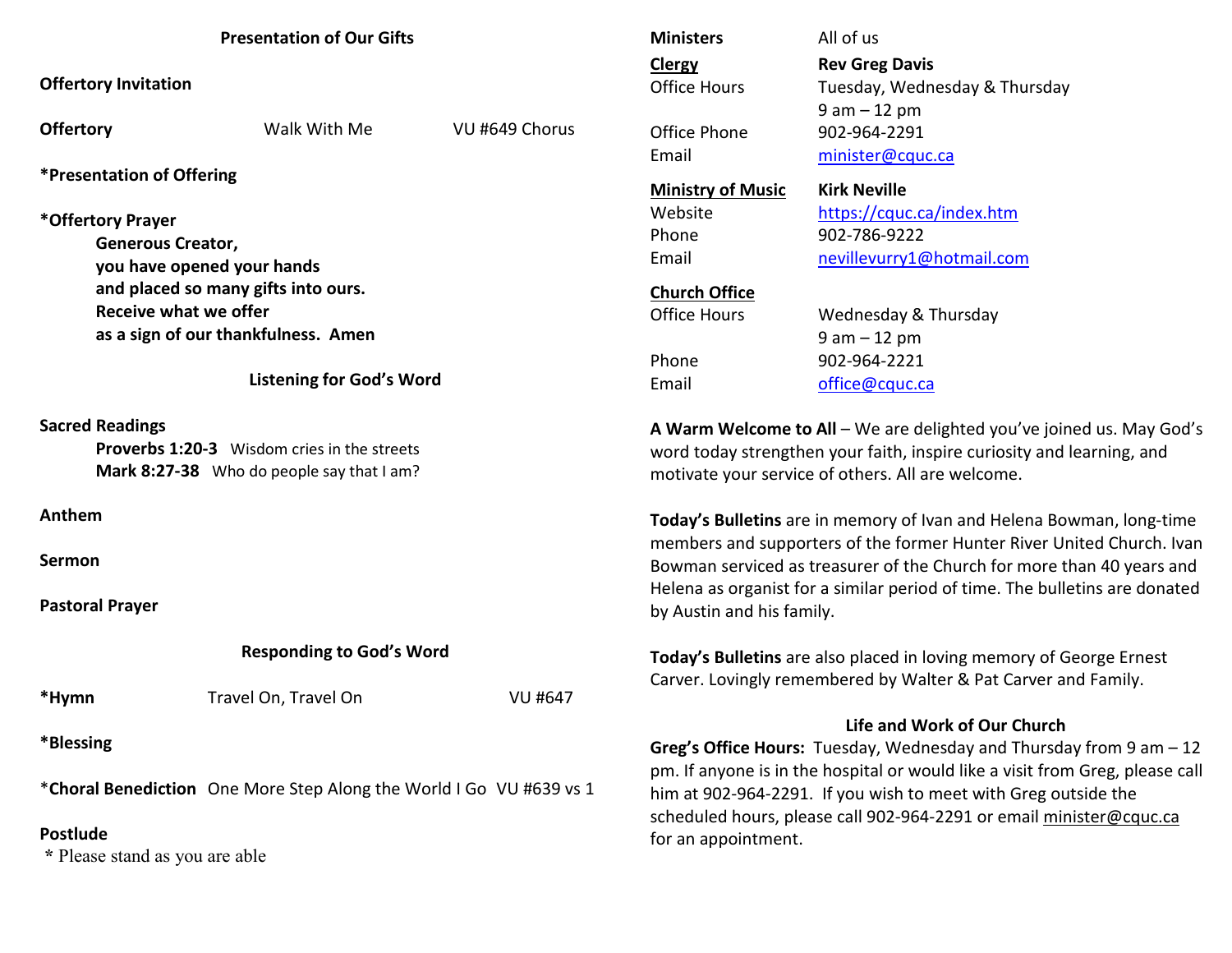| <b>Presentation of Our Gifts</b>                                                                                          |                      |                | <b>Ministers</b>                                                                                                                                                                                                             | All of us                     |  |
|---------------------------------------------------------------------------------------------------------------------------|----------------------|----------------|------------------------------------------------------------------------------------------------------------------------------------------------------------------------------------------------------------------------------|-------------------------------|--|
| <b>Offertory Invitation</b>                                                                                               |                      |                | <b>Clergy</b>                                                                                                                                                                                                                | <b>Rev Greg Davis</b>         |  |
|                                                                                                                           |                      |                | <b>Office Hours</b>                                                                                                                                                                                                          | Tuesday, Wednesday & Thursday |  |
| <b>Offertory</b>                                                                                                          | Walk With Me         | VU #649 Chorus |                                                                                                                                                                                                                              | $9 am - 12 pm$                |  |
|                                                                                                                           |                      |                | Office Phone                                                                                                                                                                                                                 | 902-964-2291                  |  |
| <i><b>*Presentation of Offering</b></i>                                                                                   |                      |                | Email                                                                                                                                                                                                                        | minister@cquc.ca              |  |
|                                                                                                                           |                      |                | <b>Ministry of Music</b>                                                                                                                                                                                                     | <b>Kirk Neville</b>           |  |
| *Offertory Prayer                                                                                                         |                      |                | Website                                                                                                                                                                                                                      | https://cquc.ca/index.htm     |  |
| <b>Generous Creator,</b>                                                                                                  |                      |                | Phone                                                                                                                                                                                                                        | 902-786-9222                  |  |
| you have opened your hands                                                                                                |                      |                | Email                                                                                                                                                                                                                        | nevillevurry1@hotmail.com     |  |
| and placed so many gifts into ours.                                                                                       |                      |                | <b>Church Office</b>                                                                                                                                                                                                         |                               |  |
| <b>Receive what we offer</b>                                                                                              |                      |                | <b>Office Hours</b>                                                                                                                                                                                                          | Wednesday & Thursday          |  |
| as a sign of our thankfulness. Amen                                                                                       |                      |                |                                                                                                                                                                                                                              | $9 am - 12 pm$                |  |
|                                                                                                                           |                      |                | Phone                                                                                                                                                                                                                        | 902-964-2221                  |  |
| <b>Listening for God's Word</b>                                                                                           |                      |                | Email                                                                                                                                                                                                                        | office@cquc.ca                |  |
| <b>Sacred Readings</b><br><b>Proverbs 1:20-3</b> Wisdom cries in the streets<br>Mark 8:27-38 Who do people say that I am? |                      |                | A Warm Welcome to All - We are delighted you've joined us. May God's<br>word today strengthen your faith, inspire curiosity and learning, and<br>motivate your service of others. All are welcome.                           |                               |  |
| Anthem                                                                                                                    |                      |                | Today's Bulletins are in memory of Ivan and Helena Bowman, long-time                                                                                                                                                         |                               |  |
| Sermon                                                                                                                    |                      |                | members and supporters of the former Hunter River United Church. Ivan<br>Bowman serviced as treasurer of the Church for more than 40 years and<br>Helena as organist for a similar period of time. The bulletins are donated |                               |  |
| <b>Pastoral Prayer</b>                                                                                                    |                      |                | by Austin and his family.                                                                                                                                                                                                    |                               |  |
| <b>Responding to God's Word</b>                                                                                           |                      |                | Today's Bulletins are also placed in loving memory of George Ernest<br>Carver. Lovingly remembered by Walter & Pat Carver and Family.                                                                                        |                               |  |
| *Hymn                                                                                                                     | Travel On, Travel On | <b>VU #647</b> |                                                                                                                                                                                                                              |                               |  |
| *Blessing                                                                                                                 |                      |                | Life and Work of Our Church<br>Greg's Office Hours: Tuesday, Wednesday and Thursday from $9$ am $-12$<br>pm. If anyone is in the hospital or would like a visit from Greg, please call                                       |                               |  |
| *Choral Benediction One More Step Along the World I Go VU #639 vs 1                                                       |                      |                | him at 902-964-2291. If you wish to meet with Greg outside the<br>scheduled hours, please call 902-964-2291 or email minister@cquc.ca                                                                                        |                               |  |
| <b>Postlude</b><br>* Please stand as you are able                                                                         |                      |                | for an appointment.                                                                                                                                                                                                          |                               |  |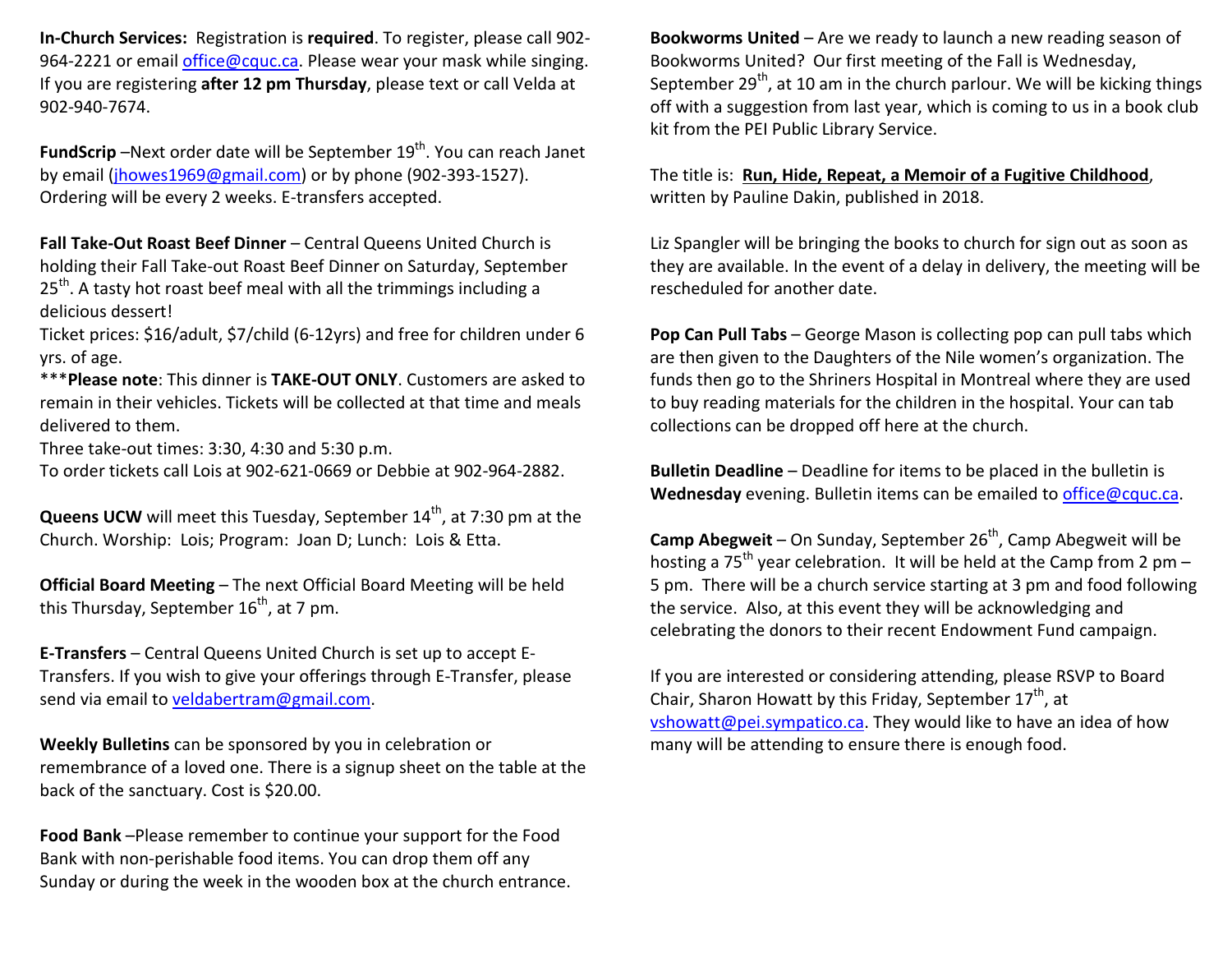**In-Church Services:** Registration is **required**. To register, please call 902-964-2221 or email *office@cquc.ca*. Please wear your mask while singing. If you are registering **after 12 pm Thursday**, please text or call Velda at 902-940-7674.

**FundScrip** -Next order date will be September 19<sup>th</sup>. You can reach Janet by email (jhowes1969@gmail.com) or by phone (902-393-1527). Ordering will be every 2 weeks. E-transfers accepted.

**Fall Take-Out Roast Beef Dinner** – Central Queens United Church is holding their Fall Take-out Roast Beef Dinner on Saturday, September  $25<sup>th</sup>$ . A tasty hot roast beef meal with all the trimmings including a delicious dessert!

Ticket prices: \$16/adult, \$7/child (6-12yrs) and free for children under 6 yrs. of age.

\*\*\***Please note**: This dinner is **TAKE-OUT ONLY**. Customers are asked to remain in their vehicles. Tickets will be collected at that time and meals delivered to them.

Three take-out times: 3:30, 4:30 and 5:30 p.m.

To order tickets call Lois at 902-621-0669 or Debbie at 902-964-2882.

**Queens UCW** will meet this Tuesday, September 14<sup>th</sup>, at 7:30 pm at the Church. Worship: Lois; Program: Joan D; Lunch: Lois & Etta.

**Official Board Meeting** – The next Official Board Meeting will be held this Thursday, September  $16^{th}$ , at 7 pm.

**E-Transfers** – Central Queens United Church is set up to accept E-Transfers. If you wish to give your offerings through E-Transfer, please send via email to veldabertram@gmail.com.

**Weekly Bulletins** can be sponsored by you in celebration or remembrance of a loved one. There is a signup sheet on the table at the back of the sanctuary. Cost is \$20.00.

**Food Bank** –Please remember to continue your support for the Food Bank with non-perishable food items. You can drop them off any Sunday or during the week in the wooden box at the church entrance.

**Bookworms United** – Are we ready to launch a new reading season of Bookworms United? Our first meeting of the Fall is Wednesday, September 29<sup>th</sup>, at 10 am in the church parlour. We will be kicking things off with a suggestion from last year, which is coming to us in a book club kit from the PEI Public Library Service.

The title is: **Run, Hide, Repeat, a Memoir of a Fugitive Childhood**, written by Pauline Dakin, published in 2018.

Liz Spangler will be bringing the books to church for sign out as soon as they are available. In the event of a delay in delivery, the meeting will be rescheduled for another date.

**Pop Can Pull Tabs** – George Mason is collecting pop can pull tabs which are then given to the Daughters of the Nile women's organization. The funds then go to the Shriners Hospital in Montreal where they are used to buy reading materials for the children in the hospital. Your can tab collections can be dropped off here at the church.

**Bulletin Deadline** – Deadline for items to be placed in the bulletin is **Wednesday** evening. Bulletin items can be emailed to office@cquc.ca.

**Camp Abegweit** – On Sunday, September 26<sup>th</sup>, Camp Abegweit will be hosting a 75<sup>th</sup> year celebration. It will be held at the Camp from 2 pm – 5 pm. There will be a church service starting at 3 pm and food following the service. Also, at this event they will be acknowledging and celebrating the donors to their recent Endowment Fund campaign.

If you are interested or considering attending, please RSVP to Board Chair, Sharon Howatt by this Friday, September  $17<sup>th</sup>$ , at vshowatt@pei.sympatico.ca. They would like to have an idea of how many will be attending to ensure there is enough food.